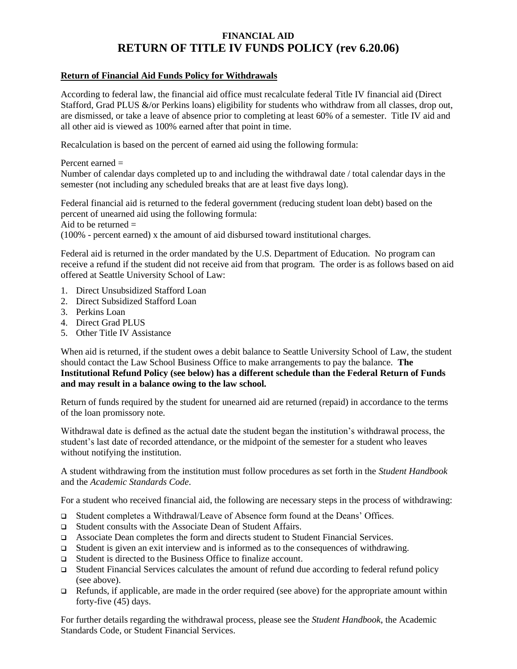## **FINANCIAL AID RETURN OF TITLE IV FUNDS POLICY (rev 6.20.06)**

## **Return of Financial Aid Funds Policy for Withdrawals**

According to federal law, the financial aid office must recalculate federal Title IV financial aid (Direct Stafford, Grad PLUS &/or Perkins loans) eligibility for students who withdraw from all classes, drop out, are dismissed, or take a leave of absence prior to completing at least 60% of a semester. Title IV aid and all other aid is viewed as 100% earned after that point in time.

Recalculation is based on the percent of earned aid using the following formula:

Percent earned = Number of calendar days completed up to and including the withdrawal date / total calendar days in the semester (not including any scheduled breaks that are at least five days long).

Federal financial aid is returned to the federal government (reducing student loan debt) based on the percent of unearned aid using the following formula: Aid to be returned  $=$ (100% - percent earned) x the amount of aid disbursed toward institutional charges.

Federal aid is returned in the order mandated by the U.S. Department of Education. No program can receive a refund if the student did not receive aid from that program. The order is as follows based on aid offered at Seattle University School of Law:

- 1. Direct Unsubsidized Stafford Loan
- 2. Direct Subsidized Stafford Loan
- 3. Perkins Loan
- 4. Direct Grad PLUS
- 5. Other Title IV Assistance

When aid is returned, if the student owes a debit balance to Seattle University School of Law, the student should contact the Law School Business Office to make arrangements to pay the balance. **The Institutional Refund Policy (see below) has a different schedule than the Federal Return of Funds and may result in a balance owing to the law school.**

Return of funds required by the student for unearned aid are returned (repaid) in accordance to the terms of the loan promissory note.

Withdrawal date is defined as the actual date the student began the institution's withdrawal process, the student's last date of recorded attendance, or the midpoint of the semester for a student who leaves without notifying the institution.

A student withdrawing from the institution must follow procedures as set forth in the *Student Handbook* and the *Academic Standards Code*.

For a student who received financial aid, the following are necessary steps in the process of withdrawing:

- ❑ Student completes a Withdrawal/Leave of Absence form found at the Deans' Offices.
- ❑ Student consults with the Associate Dean of Student Affairs.
- ❑ Associate Dean completes the form and directs student to Student Financial Services.
- ❑ Student is given an exit interview and is informed as to the consequences of withdrawing.
- ❑ Student is directed to the Business Office to finalize account.
- ❑ Student Financial Services calculates the amount of refund due according to federal refund policy (see above).
- $\Box$  Refunds, if applicable, are made in the order required (see above) for the appropriate amount within forty-five (45) days.

For further details regarding the withdrawal process, please see the *Student Handbook*, the Academic Standards Code, or Student Financial Services.